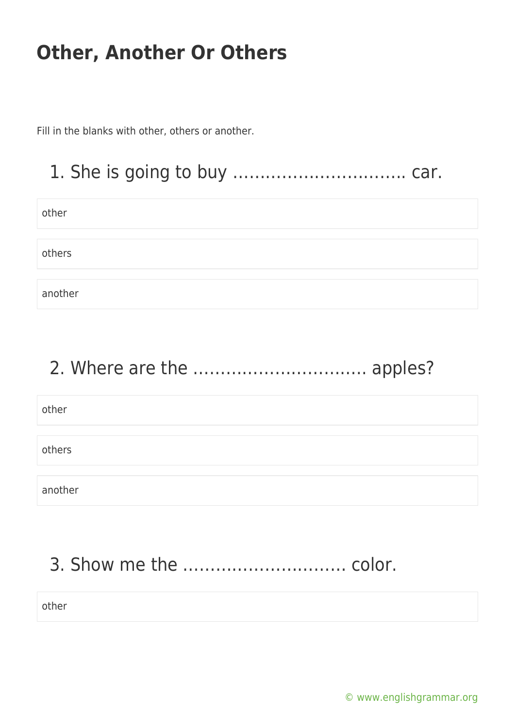Fill in the blanks with other, others or another.

### 1. She is going to buy ………………………….. car.

other

others

another

# 2. Where are the ………………………….. apples?

| other   |  |  |  |
|---------|--|--|--|
|         |  |  |  |
| others  |  |  |  |
|         |  |  |  |
| another |  |  |  |

# 3. Show me the ………………………… color.

other

[© www.englishgrammar.org](https://www.englishgrammar.org/)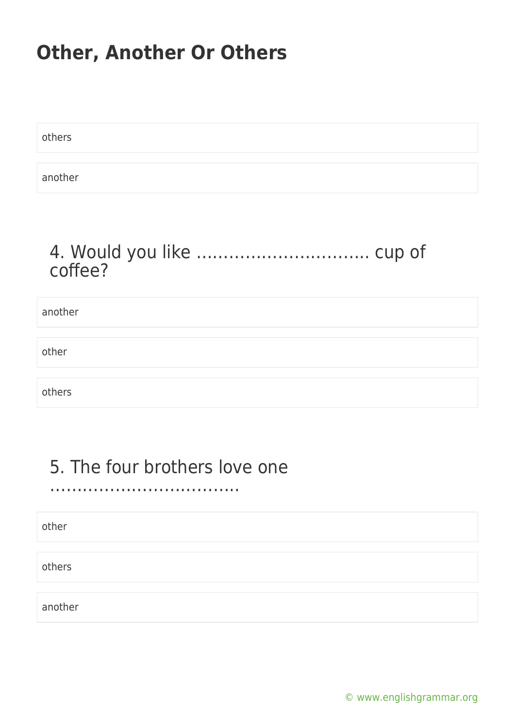others another

#### 4. Would you like ………………………….. cup of coffee?

| another |  |
|---------|--|
|         |  |
| other   |  |
|         |  |
| others  |  |

### 5. The four brothers love one

……………………………..

other

others

another

[© www.englishgrammar.org](https://www.englishgrammar.org/)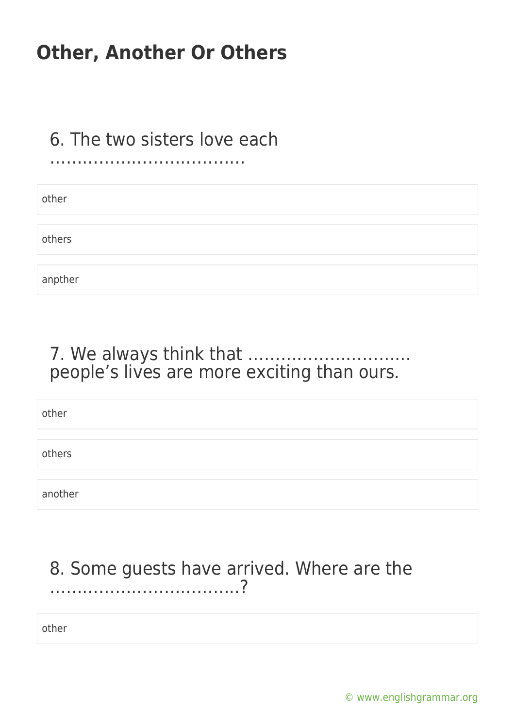#### 6. The two sisters love each ………………………………

| other   |  |  |  |
|---------|--|--|--|
|         |  |  |  |
| others  |  |  |  |
|         |  |  |  |
| anpther |  |  |  |

#### 7. We always think that ………………………… people's lives are more exciting than ours.

other others another

### 8. Some guests have arrived. Where are the ……………………………..?

other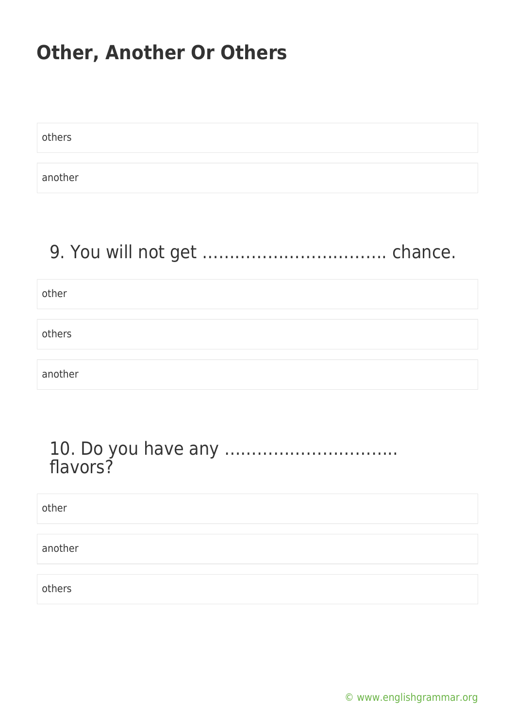| others  |  |
|---------|--|
|         |  |
| another |  |

### 9. You will not get ……………………………. chance.

other

others

another

#### 10. Do you have any ………………………….. flavors?

other another others

[© www.englishgrammar.org](https://www.englishgrammar.org/)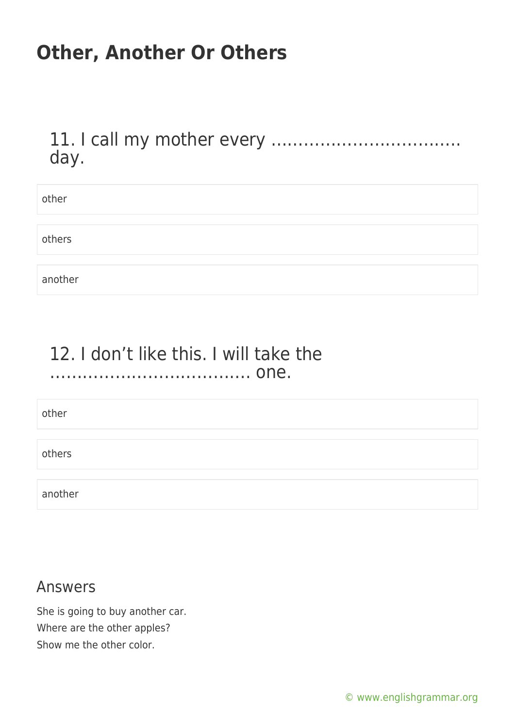11. I call my mother every …………………………….. day.

| other   |  |
|---------|--|
|         |  |
| others  |  |
|         |  |
| another |  |

#### 12. I don't like this. I will take the ………………………………. one.

other

others

another

#### Answers

She is going to buy another car. Where are the other apples? Show me the other color.